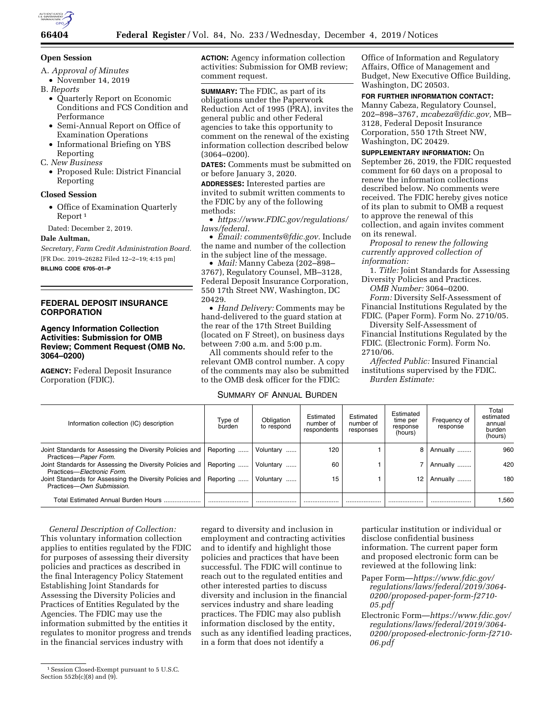

#### **Open Session**

- A. *Approval of Minutes*
- November 14, 2019
- B. *Reports* 
	- Quarterly Report on Economic Conditions and FCS Condition and Performance
	- Semi-Annual Report on Office of Examination Operations
	- Informational Briefing on YBS Reporting
- C. *New Business* 
	- Proposed Rule: District Financial Reporting

# **Closed Session**

• Office of Examination Quarterly Report 1

Dated: December 2, 2019.

# **Dale Aultman,**

*Secretary, Farm Credit Administration Board.*  [FR Doc. 2019–26282 Filed 12–2–19; 4:15 pm]

**BILLING CODE 6705–01–P** 

# **FEDERAL DEPOSIT INSURANCE CORPORATION**

# **Agency Information Collection Activities: Submission for OMB Review; Comment Request (OMB No. 3064–0200)**

**AGENCY:** Federal Deposit Insurance Corporation (FDIC).

**ACTION:** Agency information collection activities: Submission for OMB review; comment request.

**SUMMARY:** The FDIC, as part of its obligations under the Paperwork Reduction Act of 1995 (PRA), invites the general public and other Federal agencies to take this opportunity to comment on the renewal of the existing information collection described below (3064–0200).

**DATES:** Comments must be submitted on or before January 3, 2020.

**ADDRESSES:** Interested parties are invited to submit written comments to the FDIC by any of the following methods:

• *[https://www.FDIC.gov/regulations/](https://www.FDIC.gov/regulations/laws/federal) [laws/federal.](https://www.FDIC.gov/regulations/laws/federal)* 

• *Email: [comments@fdic.gov.](mailto:comments@fdic.gov)* Include the name and number of the collection in the subject line of the message.

• *Mail:* Manny Cabeza (202–898– 3767), Regulatory Counsel, MB–3128, Federal Deposit Insurance Corporation, 550 17th Street NW, Washington, DC 20429.

• *Hand Delivery:* Comments may be hand-delivered to the guard station at the rear of the 17th Street Building (located on F Street), on business days between 7:00 a.m. and 5:00 p.m.

All comments should refer to the relevant OMB control number. A copy of the comments may also be submitted to the OMB desk officer for the FDIC:

# SUMMARY OF ANNUAL BURDEN

Office of Information and Regulatory Affairs, Office of Management and Budget, New Executive Office Building, Washington, DC 20503.

# **FOR FURTHER INFORMATION CONTACT:**

Manny Cabeza, Regulatory Counsel, 202–898–3767, *[mcabeza@fdic.gov,](mailto:mcabeza@fdic.gov)* MB– 3128, Federal Deposit Insurance Corporation, 550 17th Street NW, Washington, DC 20429.

**SUPPLEMENTARY INFORMATION:** On September 26, 2019, the FDIC requested comment for 60 days on a proposal to renew the information collections described below. No comments were received. The FDIC hereby gives notice of its plan to submit to OMB a request to approve the renewal of this collection, and again invites comment on its renewal.

*Proposal to renew the following currently approved collection of information:* 

1. *Title:* Joint Standards for Assessing Diversity Policies and Practices.

*OMB Number:* 3064–0200.

*Form:* Diversity Self-Assessment of Financial Institutions Regulated by the FDIC. (Paper Form). Form No. 2710/05.

Diversity Self-Assessment of Financial Institutions Regulated by the FDIC. (Electronic Form). Form No. 2710/06.

*Affected Public:* Insured Financial institutions supervised by the FDIC. *Burden Estimate:* 

| Information collection (IC) description                                                  | Type of<br>burden | Obligation<br>to respond | Estimated<br>number of<br>respondents | Estimated<br>number of<br>responses | Estimated<br>time per<br>response<br>(hours) | Frequency of<br>response | Total<br>estimated<br>annual<br>burden<br>(hours) |
|------------------------------------------------------------------------------------------|-------------------|--------------------------|---------------------------------------|-------------------------------------|----------------------------------------------|--------------------------|---------------------------------------------------|
| Joint Standards for Assessing the Diversity Policies and  <br>Practices-Paper Form.      | Reporting         | Voluntary                | 120                                   |                                     | 8                                            | Annually                 | 960                                               |
| Joint Standards for Assessing the Diversity Policies and  <br>Practices-Electronic Form. | Reporting         | Voluntary                | 60                                    |                                     |                                              | Annually                 | 420                                               |
| Joint Standards for Assessing the Diversity Policies and  <br>Practices-Own Submission.  | Reporting         | Voluntary                | 15                                    |                                     | 12                                           | Annually                 | 180                                               |
| <b>Total Estimated Annual Burden Hours</b>                                               |                   |                          |                                       |                                     |                                              |                          | 1.560                                             |

*General Description of Collection:*  This voluntary information collection applies to entities regulated by the FDIC for purposes of assessing their diversity policies and practices as described in the final Interagency Policy Statement Establishing Joint Standards for Assessing the Diversity Policies and Practices of Entities Regulated by the Agencies. The FDIC may use the information submitted by the entities it regulates to monitor progress and trends in the financial services industry with

regard to diversity and inclusion in employment and contracting activities and to identify and highlight those policies and practices that have been successful. The FDIC will continue to reach out to the regulated entities and other interested parties to discuss diversity and inclusion in the financial services industry and share leading practices. The FDIC may also publish information disclosed by the entity, such as any identified leading practices, in a form that does not identify a

particular institution or individual or disclose confidential business information. The current paper form and proposed electronic form can be reviewed at the following link:

- Paper Form—*[https://www.fdic.gov/](https://www.fdic.gov/regulations/laws/federal/2019/3064-0200/proposed-paper-form-f2710-05.pdf) [regulations/laws/federal/2019/3064-](https://www.fdic.gov/regulations/laws/federal/2019/3064-0200/proposed-paper-form-f2710-05.pdf)  [0200/proposed-paper-form-f2710-](https://www.fdic.gov/regulations/laws/federal/2019/3064-0200/proposed-paper-form-f2710-05.pdf)  [05.pdf](https://www.fdic.gov/regulations/laws/federal/2019/3064-0200/proposed-paper-form-f2710-05.pdf)*
- Electronic Form—*[https://www.fdic.gov/](https://www.fdic.gov/regulations/laws/federal/2019/3064-0200/proposed-electronic-form-f2710-06.pdf)  [regulations/laws/federal/2019/3064-](https://www.fdic.gov/regulations/laws/federal/2019/3064-0200/proposed-electronic-form-f2710-06.pdf)  [0200/proposed-electronic-form-f2710-](https://www.fdic.gov/regulations/laws/federal/2019/3064-0200/proposed-electronic-form-f2710-06.pdf) [06.pdf](https://www.fdic.gov/regulations/laws/federal/2019/3064-0200/proposed-electronic-form-f2710-06.pdf)*

<sup>1</sup>Session Closed-Exempt pursuant to 5 U.S.C. Section  $552b(c)(8)$  and  $(9)$ .